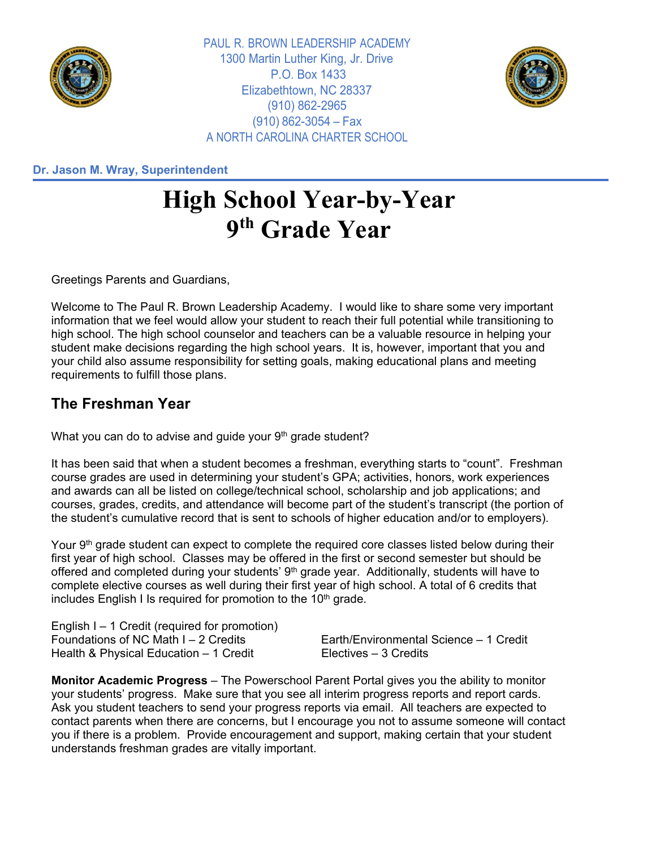

PAUL R. BROWN LEADERSHIP ACADEMY 1300 Martin Luther King, Jr. Drive P.O. Box 1433 Elizabethtown, NC 28337 (910) 862-2965 (910) 862-3054 – Fax A NORTH CAROLINA CHARTER SCHOOL



**Dr. Jason M. Wray, Superintendent**

## **High School Year-by-Year 9th Grade Year**

Greetings Parents and Guardians,

Welcome to The Paul R. Brown Leadership Academy. I would like to share some very important information that we feel would allow your student to reach their full potential while transitioning to high school. The high school counselor and teachers can be a valuable resource in helping your student make decisions regarding the high school years. It is, however, important that you and your child also assume responsibility for setting goals, making educational plans and meeting requirements to fulfill those plans.

## **The Freshman Year**

What you can do to advise and guide your 9<sup>th</sup> grade student?

It has been said that when a student becomes a freshman, everything starts to "count". Freshman course grades are used in determining your student's GPA; activities, honors, work experiences and awards can all be listed on college/technical school, scholarship and job applications; and courses, grades, credits, and attendance will become part of the student's transcript (the portion of the student's cumulative record that is sent to schools of higher education and/or to employers).

Your 9<sup>th</sup> grade student can expect to complete the required core classes listed below during their first year of high school. Classes may be offered in the first or second semester but should be offered and completed during your students' 9<sup>th</sup> grade year. Additionally, students will have to complete elective courses as well during their first year of high school. A total of 6 credits that includes English I Is required for promotion to the  $10<sup>th</sup>$  grade.

English I – 1 Credit (required for promotion) Foundations of NC Math I – 2 Credits Earth/Environmental Science – 1 Credit Health & Physical Education – 1 Credit Electives – 3 Credits

**Monitor Academic Progress** – The Powerschool Parent Portal gives you the ability to monitor your students' progress. Make sure that you see all interim progress reports and report cards. Ask you student teachers to send your progress reports via email. All teachers are expected to contact parents when there are concerns, but I encourage you not to assume someone will contact you if there is a problem. Provide encouragement and support, making certain that your student understands freshman grades are vitally important.